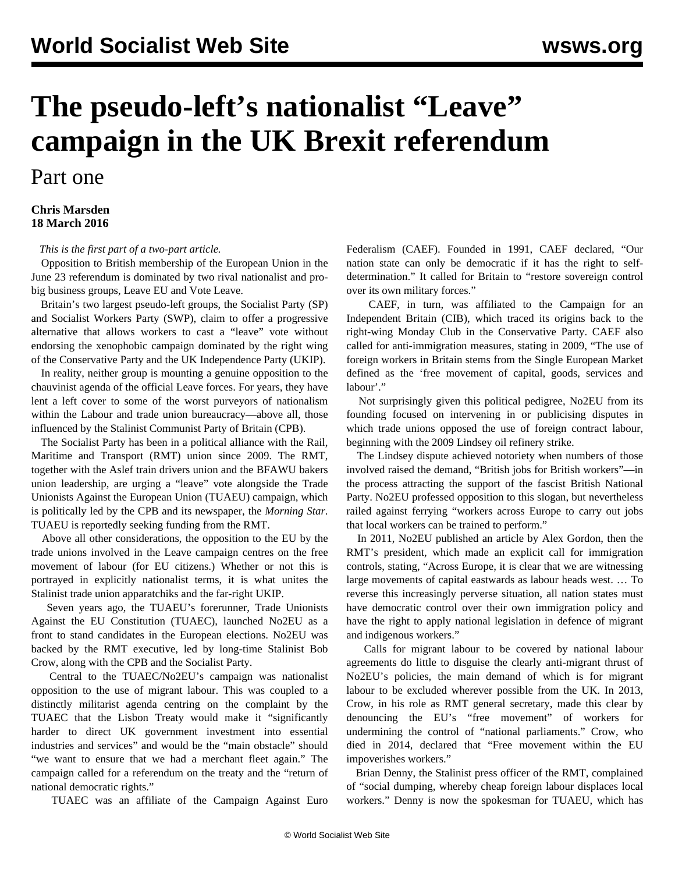## **The pseudo-left's nationalist "Leave" campaign in the UK Brexit referendum**

## Part one

## **Chris Marsden 18 March 2016**

*This is the first part of a two-part article.*

 Opposition to British membership of the European Union in the June 23 referendum is dominated by two rival nationalist and probig business groups, Leave EU and Vote Leave.

 Britain's two largest pseudo-left groups, the Socialist Party (SP) and Socialist Workers Party (SWP), claim to offer a progressive alternative that allows workers to cast a "leave" vote without endorsing the xenophobic campaign dominated by the right wing of the Conservative Party and the UK Independence Party (UKIP).

 In reality, neither group is mounting a genuine opposition to the chauvinist agenda of the official Leave forces. For years, they have lent a left cover to some of the worst purveyors of nationalism within the Labour and trade union bureaucracy—above all, those influenced by the Stalinist Communist Party of Britain (CPB).

 The Socialist Party has been in a political alliance with the Rail, Maritime and Transport (RMT) union since 2009. The RMT, together with the Aslef train drivers union and the BFAWU bakers union leadership, are urging a "leave" vote alongside the Trade Unionists Against the European Union (TUAEU) campaign, which is politically led by the CPB and its newspaper, the *Morning Star*. TUAEU is reportedly seeking funding from the RMT.

 Above all other considerations, the opposition to the EU by the trade unions involved in the Leave campaign centres on the free movement of labour (for EU citizens.) Whether or not this is portrayed in explicitly nationalist terms, it is what unites the Stalinist trade union apparatchiks and the far-right UKIP.

 Seven years ago, the TUAEU's forerunner, Trade Unionists Against the EU Constitution (TUAEC), launched No2EU as a front to stand candidates in the European elections. No2EU was backed by the RMT executive, led by long-time Stalinist Bob Crow, along with the CPB and the Socialist Party.

 Central to the TUAEC/No2EU's campaign was nationalist opposition to the use of migrant labour. This was coupled to a distinctly militarist agenda centring on the complaint by the TUAEC that the Lisbon Treaty would make it "significantly harder to direct UK government investment into essential industries and services" and would be the "main obstacle" should "we want to ensure that we had a merchant fleet again." The campaign called for a referendum on the treaty and the "return of national democratic rights."

TUAEC was an affiliate of the Campaign Against Euro

Federalism (CAEF). Founded in 1991, CAEF declared, "Our nation state can only be democratic if it has the right to selfdetermination." It called for Britain to "restore sovereign control over its own military forces."

 CAEF, in turn, was affiliated to the Campaign for an Independent Britain (CIB), which traced its origins back to the right-wing Monday Club in the Conservative Party. CAEF also called for anti-immigration measures, stating in 2009, "The use of foreign workers in Britain stems from the Single European Market defined as the 'free movement of capital, goods, services and labour'."

 Not surprisingly given this political pedigree, No2EU from its founding focused on intervening in or publicising disputes in which trade unions opposed the use of foreign contract labour, beginning with the 2009 Lindsey oil refinery strike.

 The Lindsey dispute achieved notoriety when numbers of those involved raised the demand, "British jobs for British workers"—in the process attracting the support of the fascist British National Party. No2EU professed opposition to this slogan, but nevertheless railed against ferrying "workers across Europe to carry out jobs that local workers can be trained to perform."

 In 2011, No2EU published an article by Alex Gordon, then the RMT's president, which made an explicit call for immigration controls, stating, "Across Europe, it is clear that we are witnessing large movements of capital eastwards as labour heads west. … To reverse this increasingly perverse situation, all nation states must have democratic control over their own immigration policy and have the right to apply national legislation in defence of migrant and indigenous workers."

 Calls for migrant labour to be covered by national labour agreements do little to disguise the clearly anti-migrant thrust of No2EU's policies, the main demand of which is for migrant labour to be excluded wherever possible from the UK. In 2013, Crow, in his role as RMT general secretary, made this clear by denouncing the EU's "free movement" of workers for undermining the control of "national parliaments." Crow, who died in 2014, declared that "Free movement within the EU impoverishes workers."

 Brian Denny, the Stalinist press officer of the RMT, complained of "social dumping, whereby cheap foreign labour displaces local workers." Denny is now the spokesman for TUAEU, which has